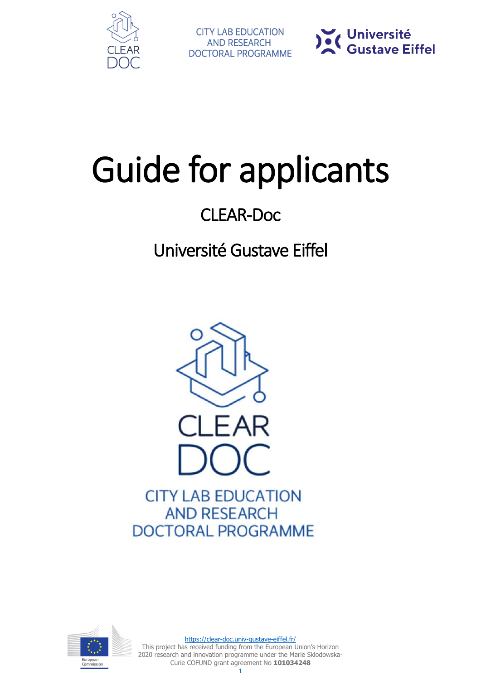



# Guide for applicants

# CLEAR-Doc

# Université Gustave Eiffel



**AND RESEARCH DOCTORAL PROGRAMME** 



<https://clear-doc.univ-gustave-eiffel.fr/> This project has received funding from the European Union's Horizon 2020 research and innovation programme under the Marie Sklodowska-Curie COFUND grant agreement No **101034248**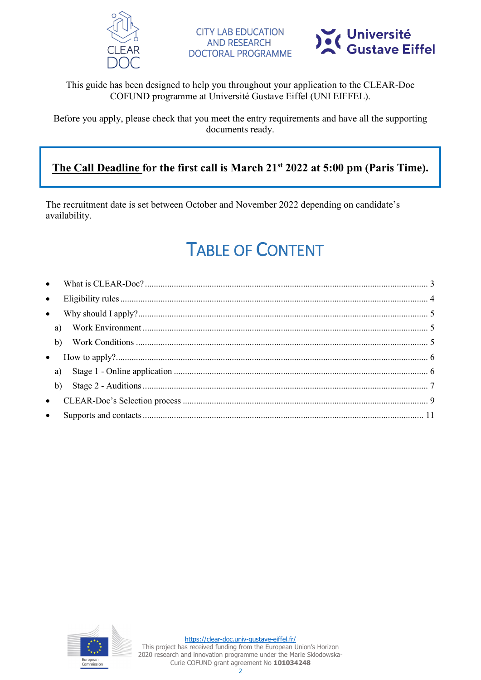



#### This guide has been designed to help you throughout your application to the CLEAR-Doc COFUND programme at Université Gustave Eiffel (UNI EIFFEL).

Before you apply, please check that you meet the entry requirements and have all the supporting documents ready.

### **The Call Deadline for the first call is March 21st 2022 at 5:00 pm (Paris Time).**

The recruitment date is set between October and November 2022 depending on candidate's availability.

# TABLE OF CONTENT

| $\bullet$ |  |
|-----------|--|
| $\bullet$ |  |
|           |  |
| b)        |  |
| $\bullet$ |  |
| a)        |  |
| b)        |  |
|           |  |
| $\bullet$ |  |

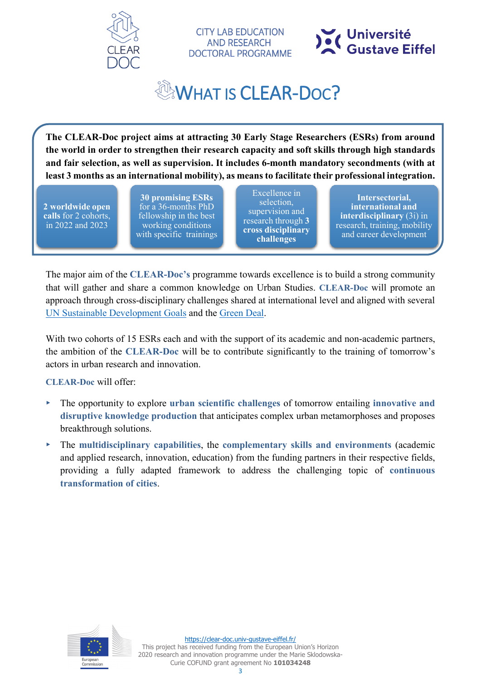

**CITY LAB EDUCATION AND RESEARCH DOCTORAL PROGRAMME** 



# WHAT IS CLEAR-DOC?

<span id="page-2-0"></span>**The CLEAR-Doc project aims at attracting 30 Early Stage Researchers (ESRs) from around the world in order to strengthen their research capacity and soft skills through high standards and fair selection, as well as supervision. It includes 6-month mandatory secondments (with at least 3 months as an international mobility), as means to facilitate their professional integration.** 

**2 worldwide open calls** for 2 cohorts, in 2022 and 2023

**30 promising ESRs** for a 36-months PhD fellowship in the best working conditions with specific trainings

Excellence in selection, supervision and research through **3 cross disciplinary challenges**

**Intersectorial, international and interdisciplinary** (3i) in research, training, mobility and career development

The major aim of the **CLEAR-Doc's** programme towards excellence is to build a strong community that will gather and share a common knowledge on Urban Studies. **CLEAR-Doc** will promote an approach through cross-disciplinary challenges shared at international level and aligned with several [UN Sustainable Development Goals](https://www.un.org/sustainabledevelopment/sustainable-development-goals/) and the [Green Deal.](https://ec.europa.eu/info/strategy/priorities-2019-2024/european-green-deal_en)

With two cohorts of 15 ESRs each and with the support of its academic and non-academic partners, the ambition of the **CLEAR-Doc** will be to contribute significantly to the training of tomorrow's actors in urban research and innovation.

**CLEAR-Doc** will offer:

- ▸ The opportunity to explore **urban scientific challenges** of tomorrow entailing **innovative and disruptive knowledge production** that anticipates complex urban metamorphoses and proposes breakthrough solutions.
- ▸ The **multidisciplinary capabilities**, the **complementary skills and environments** (academic and applied research, innovation, education) from the funding partners in their respective fields, providing a fully adapted framework to address the challenging topic of **continuous transformation of cities**.

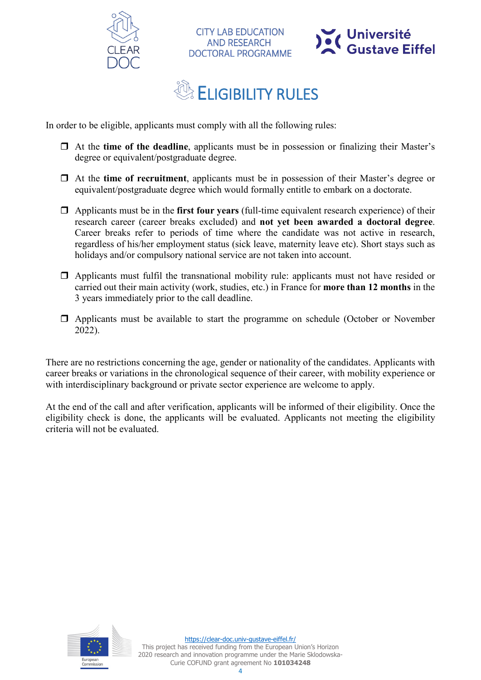



# **ELIGIBILITY RULES**

**CITY LAB EDUCATION AND RESEARCH** 

**DOCTORAL PROGRAMME** 

<span id="page-3-0"></span>In order to be eligible, applicants must comply with all the following rules:

- At the **time of the deadline**, applicants must be in possession or finalizing their Master's degree or equivalent/postgraduate degree.
- At the **time of recruitment**, applicants must be in possession of their Master's degree or equivalent/postgraduate degree which would formally entitle to embark on a doctorate.
- Applicants must be in the **first four years** (full-time equivalent research experience) of their research career (career breaks excluded) and **not yet been awarded a doctoral degree**. Career breaks refer to periods of time where the candidate was not active in research, regardless of his/her employment status (sick leave, maternity leave etc). Short stays such as holidays and/or compulsory national service are not taken into account.
- $\Box$  Applicants must fulfil the transnational mobility rule: applicants must not have resided or carried out their main activity (work, studies, etc.) in France for **more than 12 months** in the 3 years immediately prior to the call deadline.
- $\Box$  Applicants must be available to start the programme on schedule (October or November 2022).

There are no restrictions concerning the age, gender or nationality of the candidates. Applicants with career breaks or variations in the chronological sequence of their career, with mobility experience or with interdisciplinary background or private sector experience are welcome to apply.

At the end of the call and after verification, applicants will be informed of their eligibility. Once the eligibility check is done, the applicants will be evaluated. Applicants not meeting the eligibility criteria will not be evaluated.

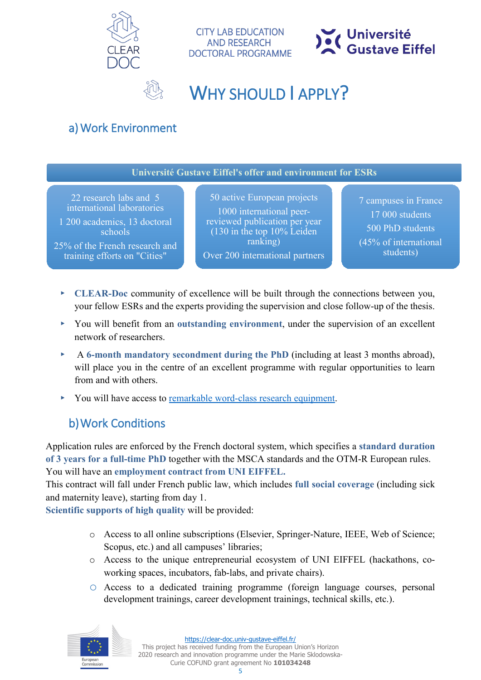

**CITY LAB EDUCATION AND RESEARCH DOCTORAL PROGRAMME** 



### WHY SHOULD LAPPLY?

### <span id="page-4-1"></span><span id="page-4-0"></span>a)Work Environment

**Université Gustave Eiffel's offer and environment for ESRs**

22 research labs and 5 international laboratories

1 200 academics, 13 doctoral schools

25% of the French research and training efforts on "Cities"

50 active European projects 1000 international peerreviewed publication per year (130 in the top 10% Leiden ranking) Over 200 international partners

7 campuses in France 17 000 students 500 PhD students (45% of international students)

- ▸ **CLEAR-Doc** community of excellence will be built through the connections between you, your fellow ESRs and the experts providing the supervision and close follow-up of the thesis.
- ▸ You will benefit from an **outstanding environment**, under the supervision of an excellent network of researchers.
- ▸ A **6-month mandatory secondment during the PhD** (including at least 3 months abroad), will place you in the centre of an excellent programme with regular opportunities to learn from and with others.
- <span id="page-4-2"></span>▸ You will have access to [remarkable word-class research equipment.](https://www.univ-gustave-eiffel.fr/en/the-university/our-exceptional-facilities/)

### b)Work Conditions

Application rules are enforced by the French doctoral system, which specifies a **standard duration of 3 years for a full-time PhD** together with the MSCA standards and the OTM-R European rules. You will have an **employment contract from UNI EIFFEL.**

This contract will fall under French public law, which includes **full social coverage** (including sick and maternity leave), starting from day 1.

**Scientific supports of high quality** will be provided:

- o Access to all online subscriptions (Elsevier, Springer-Nature, IEEE, Web of Science; Scopus, etc.) and all campuses' libraries;
- o Access to the unique entrepreneurial ecosystem of UNI EIFFEL (hackathons, coworking spaces, incubators, fab-labs, and private chairs).
- o Access to a dedicated training programme (foreign language courses, personal development trainings, career development trainings, technical skills, etc.).



This project has received funding from the European Union's Horizon 2020 research and innovation programme under the Marie Sklodowska-Curie COFUND grant agreement No **101034248**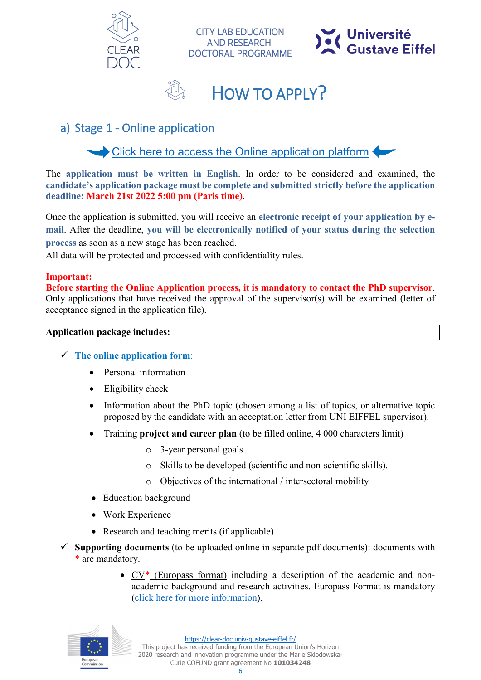





**CITY LAB EDUCATION AND RESEARCH DOCTORAL PROGRAMME** 

### <span id="page-5-1"></span><span id="page-5-0"></span>a) Stage 1 - Online application

[Click here to access the Online application platform](https://upem.moveonfr.com/form/61a641d1f0a0bb27d33c36ee/eng)

The **application must be written in English**. In order to be considered and examined, the **candidate's application package must be complete and submitted strictly before the application deadline: March 21st 2022 5:00 pm (Paris time)**.

Once the application is submitted, you will receive an **electronic receipt of your application by email**. After the deadline, **you will be electronically notified of your status during the selection process** as soon as a new stage has been reached.

All data will be protected and processed with confidentiality rules.

#### **Important:**

**Before starting the Online Application process, it is mandatory to contact the PhD supervisor**. Only applications that have received the approval of the supervisor(s) will be examined (letter of acceptance signed in the application file).

#### **Application package includes:**

- **The online application form**:
	- Personal information
	- Eligibility check
	- Information about the PhD topic (chosen among a list of topics, or alternative topic proposed by the candidate with an acceptation letter from UNI EIFFEL supervisor).
	- Training **project and career plan** (to be filled online, 4 000 characters limit)
		- o 3-year personal goals.
		- o Skills to be developed (scientific and non-scientific skills).
		- o Objectives of the international / intersectoral mobility
	- Education background
	- Work Experience
	- Research and teaching merits (if applicable)
- $\checkmark$  Supporting documents (to be uploaded online in separate pdf documents): documents with \* are mandatory.
	- CV\* [\(Europass format\)](https://europa.eu/europass/en/create-europass-cv) including a description of the academic and nonacademic background and research activities. Europass Format is mandatory [\(click here for more information\)](https://europa.eu/europass/en/create-europass-cv).

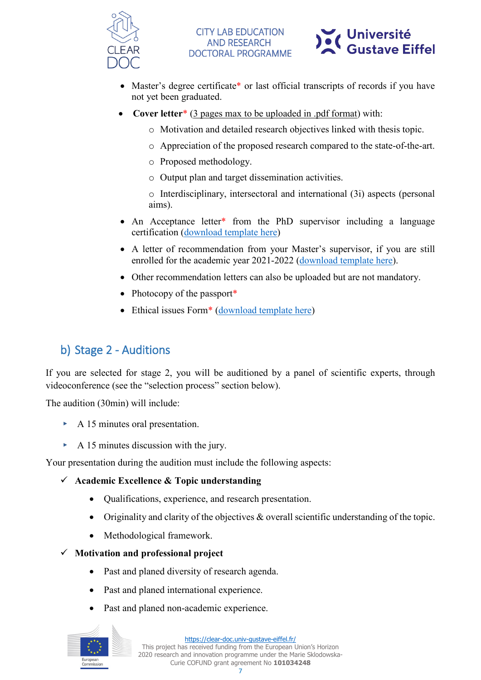



- Master's degree certificate\* or last official transcripts of records if you have not yet been graduated.
- **Cover letter**<sup>\*</sup> (3 pages max to be uploaded in .pdf format) with:
	- o Motivation and detailed research objectives linked with thesis topic.
	- o Appreciation of the proposed research compared to the state-of-the-art.
	- o Proposed methodology.
	- o Output plan and target dissemination activities.
	- o Interdisciplinary, intersectoral and international (3i) aspects (personal aims).
- An Acceptance letter<sup>\*</sup> from the PhD supervisor including a language certification [\(download template here\)](https://clear-doc.univ-gustave-eiffel.fr/fileadmin/contributeurs/CLEAR_Doc/Templates/CLEAR-Doc_Acceptation_letter_Template.docx)
- A letter of recommendation from your Master's supervisor, if you are still enrolled for the academic year 2021-2022 [\(download template here\)](https://clear-doc.univ-gustave-eiffel.fr/fileadmin/contributeurs/CLEAR_Doc/Templates/CLEAR-Doc_Recommendation_master-supervisor_template.docx).
- Other recommendation letters can also be uploaded but are not mandatory.
- Photocopy of the passport\*
- Ethical issues Form<sup>\*</sup> [\(download template here\)](https://clear-doc.univ-gustave-eiffel.fr/fileadmin/contributeurs/CLEAR_Doc/Templates/CLEAR-Doc_Ethic_Form_Assessment.docx)

### <span id="page-6-0"></span>b) Stage 2 - Auditions

If you are selected for stage 2, you will be auditioned by a panel of scientific experts, through videoconference (see the "selection process" section below).

The audition (30min) will include:

- ▸ A 15 minutes oral presentation.
- $\triangleright$  A 15 minutes discussion with the jury.

Your presentation during the audition must include the following aspects:

- **Academic Excellence & Topic understanding**
	- Qualifications, experience, and research presentation.
	- Originality and clarity of the objectives & overall scientific understanding of the topic.
	- Methodological framework.

**Motivation and professional project** 

- Past and planed diversity of research agenda.
- Past and planed international experience.
- Past and planed non-academic experience.



<https://clear-doc.univ-gustave-eiffel.fr/>

This project has received funding from the European Union's Horizon 2020 research and innovation programme under the Marie Sklodowska-Curie COFUND grant agreement No **101034248**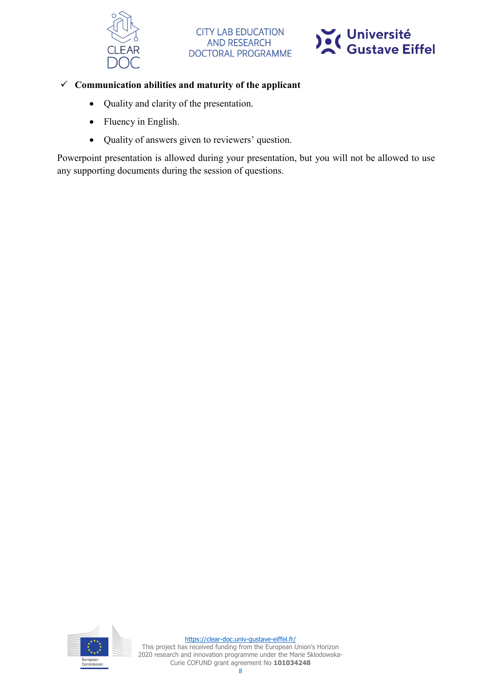



#### **Communication abilities and maturity of the applicant**

- Quality and clarity of the presentation.
- Fluency in English.
- Quality of answers given to reviewers' question.

Powerpoint presentation is allowed during your presentation, but you will not be allowed to use any supporting documents during the session of questions.

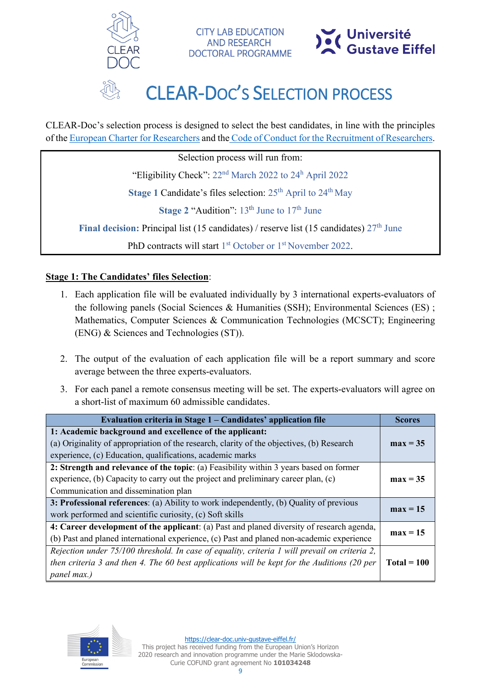



# CLEAR-DOC'S SELECTION PROCESS

<span id="page-8-0"></span>CLEAR-Doc's selection process is designed to select the best candidates, in line with the principles of the [European Charter for Researchers](https://euraxess.ec.europa.eu/jobs/charter/european-charter) and the Code of Conduct for [the Recruitment of Researchers.](https://euraxess.ec.europa.eu/jobs/charter/code)

**CITY LAB EDUCATION AND RESEARCH** 

**DOCTORAL PROGRAMME** 

Selection process will run from:

"Eligibility Check": 22nd March 2022 to 24<sup>h</sup> April 2022

Stage 1 Candidate's files selection: 25<sup>th</sup> April to 24<sup>th</sup> May

**Stage 2** "Audition":  $13<sup>th</sup>$  June to  $17<sup>th</sup>$  June

**Final decision:** Principal list (15 candidates) / reserve list (15 candidates)  $27<sup>th</sup>$  June

PhD contracts will start 1<sup>st</sup> October or 1<sup>st</sup> November 2022.

#### **Stage 1: The Candidates' files Selection**:

- 1. Each application file will be evaluated individually by 3 international experts-evaluators of the following panels (Social Sciences & Humanities (SSH); Environmental Sciences (ES) ; Mathematics, Computer Sciences & Communication Technologies (MCSCT); Engineering (ENG) & Sciences and Technologies (ST)).
- 2. The output of the evaluation of each application file will be a report summary and score average between the three experts-evaluators.
- 3. For each panel a remote consensus meeting will be set. The experts-evaluators will agree on a short-list of maximum 60 admissible candidates.

| Evaluation criteria in Stage 1 – Candidates' application file                                                                                                                                                        | <b>Scores</b> |
|----------------------------------------------------------------------------------------------------------------------------------------------------------------------------------------------------------------------|---------------|
| 1: Academic background and excellence of the applicant:<br>(a) Originality of appropriation of the research, clarity of the objectives, (b) Research<br>experience, (c) Education, qualifications, academic marks    | $max = 35$    |
| 2: Strength and relevance of the topic: (a) Feasibility within 3 years based on former<br>experience, (b) Capacity to carry out the project and preliminary career plan, (c)<br>Communication and dissemination plan | $max = 35$    |
| 3: Professional references: (a) Ability to work independently, (b) Quality of previous<br>work performed and scientific curiosity, (c) Soft skills                                                                   |               |
| 4: Career development of the applicant: (a) Past and planed diversity of research agenda,<br>(b) Past and planed international experience, (c) Past and planed non-academic experience                               |               |
| Rejection under 75/100 threshold. In case of equality, criteria 1 will prevail on criteria 2,<br>then criteria 3 and then 4. The 60 best applications will be kept for the Auditions (20 per<br>panel max.)          | $Total = 100$ |

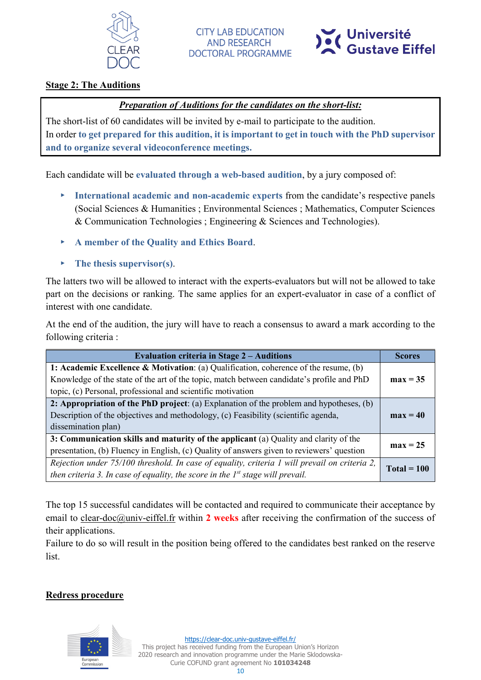



#### **Stage 2: The Auditions**

#### *Preparation of Auditions for the candidates on the short-list:*

The short-list of 60 candidates will be invited by e-mail to participate to the audition. In order **to get prepared for this audition, it is important to get in touch with the PhD supervisor and to organize several videoconference meetings.**

Each candidate will be **evaluated through a web-based audition**, by a jury composed of:

- ▸ **International academic and non-academic experts** from the candidate's respective panels (Social Sciences & Humanities ; Environmental Sciences ; Mathematics, Computer Sciences & Communication Technologies ; Engineering & Sciences and Technologies).
- ▸ **A member of the Quality and Ethics Board**.
- ▸ **The thesis supervisor(s)**.

The latters two will be allowed to interact with the experts-evaluators but will not be allowed to take part on the decisions or ranking. The same applies for an expert-evaluator in case of a conflict of interest with one candidate.

At the end of the audition, the jury will have to reach a consensus to award a mark according to the following criteria :

| <b>Evaluation criteria in Stage 2 – Auditions</b>                                             | <b>Scores</b> |  |
|-----------------------------------------------------------------------------------------------|---------------|--|
| 1: Academic Excellence & Motivation: (a) Qualification, coherence of the resume, (b)          |               |  |
| Knowledge of the state of the art of the topic, match between candidate's profile and PhD     | $max = 35$    |  |
| topic, (c) Personal, professional and scientific motivation                                   |               |  |
| 2: Appropriation of the PhD project: (a) Explanation of the problem and hypotheses, (b)       |               |  |
| Description of the objectives and methodology, (c) Feasibility (scientific agenda,            |               |  |
| dissemination plan)                                                                           |               |  |
| 3: Communication skills and maturity of the applicant (a) Quality and clarity of the          |               |  |
| presentation, (b) Fluency in English, (c) Quality of answers given to reviewers' question     | $max = 25$    |  |
| Rejection under 75/100 threshold. In case of equality, criteria 1 will prevail on criteria 2, | $Total = 100$ |  |
| then criteria 3. In case of equality, the score in the $Ist$ stage will prevail.              |               |  |

The top 15 successful candidates will be contacted and required to communicate their acceptance by email to [clear-doc@univ-eiffel.fr](mailto:clear-doc@univ-eiffel.fr) within **2 weeks** after receiving the confirmation of the success of their applications.

Failure to do so will result in the position being offered to the candidates best ranked on the reserve list.

#### **Redress procedure**